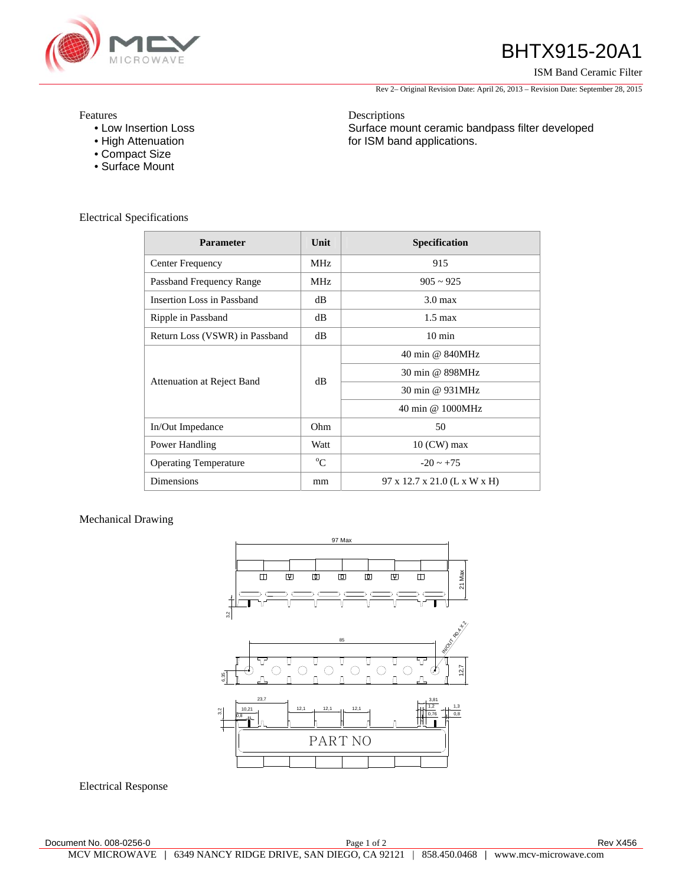

## BHTX915-20A1

ISM Band Ceramic Filter

Rev 2– Original Revision Date: April 26, 2013 – Revision Date: September 28, 2015

Surface mount ceramic bandpass filter developed

Features

- Low Insertion Loss
- High Attenuation
- Compact Size
- Surface Mount

Electrical Specifications

| <b>Parameter</b>               | Unit        | <b>Specification</b>         |
|--------------------------------|-------------|------------------------------|
| Center Frequency               | <b>MHz</b>  | 915                          |
| Passband Frequency Range       | <b>MHz</b>  | $905 \sim 925$               |
| Insertion Loss in Passband     | dB          | $3.0 \text{ max}$            |
| Ripple in Passband             | dB          | $1.5 \text{ max}$            |
| Return Loss (VSWR) in Passband | dB          | $10 \text{ min}$             |
| Attenuation at Reject Band     | dB          | 40 min @ 840MHz              |
|                                |             | 30 min @ 898MHz              |
|                                |             | 30 min @ 931MHz              |
|                                |             | 40 min @ 1000MHz             |
| In/Out Impedance               | Ohm         | 50                           |
| Power Handling                 | Watt        | $10$ (CW) max                |
| <b>Operating Temperature</b>   | $^{\circ}C$ | $-20 \approx +75$            |
| <b>Dimensions</b>              | mm          | 97 x 12.7 x 21.0 (L x W x H) |

Descriptions

for ISM band applications.

## Mechanical Drawing



Electrical Response